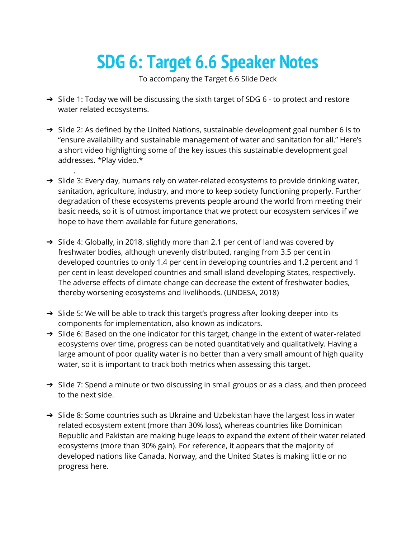## **SDG 6: Target 6.6 Speaker Notes**

To accompany the Target 6.6 Slide Deck

- ➔ Slide 1: Today we will be discussing the sixth target of SDG 6 to protect and restore water related ecosystems.
- → Slide 2: As defined by the United Nations, sustainable development goal number 6 is to "ensure availability and sustainable management of water and sanitation for all." Here's a short video highlighting some of the key issues this sustainable development goal addresses. \*Play video.\*

.

- $\rightarrow$  Slide 3: Every day, humans rely on water-related ecosystems to provide drinking water, sanitation, agriculture, industry, and more to keep society functioning properly. Further degradation of these ecosystems prevents people around the world from meeting their basic needs, so it is of utmost importance that we protect our ecosystem services if we hope to have them available for future generations.
- → Slide 4: Globally, in 2018, slightly more than 2.1 per cent of land was covered by freshwater bodies, although unevenly distributed, ranging from 3.5 per cent in developed countries to only 1.4 per cent in developing countries and 1.2 percent and 1 per cent in least developed countries and small island developing States, respectively. The adverse effects of climate change can decrease the extent of freshwater bodies, thereby worsening ecosystems and livelihoods. (UNDESA, 2018)
- → Slide 5: We will be able to track this target's progress after looking deeper into its components for implementation, also known as indicators.
- → Slide 6: Based on the one indicator for this target, change in the extent of water-related ecosystems over time, progress can be noted quantitatively and qualitatively. Having a large amount of poor quality water is no better than a very small amount of high quality water, so it is important to track both metrics when assessing this target.
- → Slide 7: Spend a minute or two discussing in small groups or as a class, and then proceed to the next side.
- ➔ Slide 8: Some countries such as Ukraine and Uzbekistan have the largest loss in water related ecosystem extent (more than 30% loss), whereas countries like Dominican Republic and Pakistan are making huge leaps to expand the extent of their water related ecosystems (more than 30% gain). For reference, it appears that the majority of developed nations like Canada, Norway, and the United States is making little or no progress here.